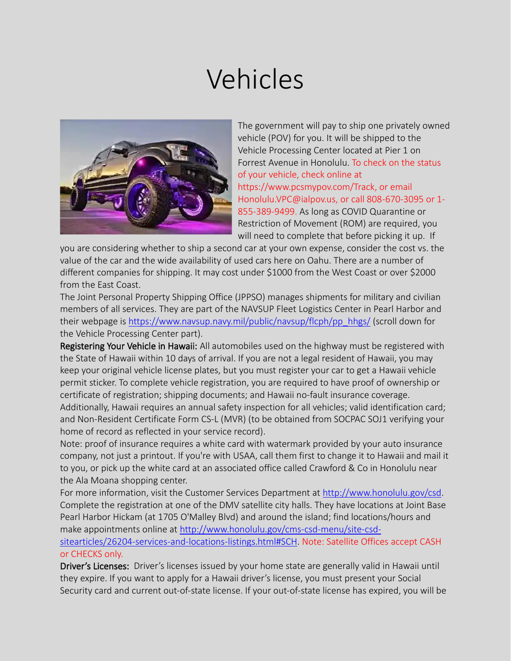## Vehicles



The government will pay to ship one privately owned vehicle (POV) for you. It will be shipped to the Vehicle Processing Center located at Pier 1 on Forrest Avenue in Honolulu. To check on the status of your vehicle, check online at https://www.pcsmypov.com/Track, or email Honolulu.VPC@ialpov.us, or call 808-670-3095 or 1- 855-389-9499. As long as COVID Quarantine or Restriction of Movement (ROM) are required, you will need to complete that before picking it up. If

you are considering whether to ship a second car at your own expense, consider the cost vs. the value of the car and the wide availability of used cars here on Oahu. There are a number of different companies for shipping. It may cost under \$1000 from the West Coast or over \$2000 from the East Coast.

The Joint Personal Property Shipping Office (JPPSO) manages shipments for military and civilian members of all services. They are part of the NAVSUP Fleet Logistics Center in Pearl Harbor and their webpage is [https://www.navsup.navy.mil/public/navsup/flcph/pp\\_hhgs/](https://www.navsup.navy.mil/public/navsup/flcph/pp_hhgs/) (scroll down for the Vehicle Processing Center part).

Registering Your Vehicle in Hawaii: All automobiles used on the highway must be registered with the State of Hawaii within 10 days of arrival. If you are not a legal resident of Hawaii, you may keep your original vehicle license plates, but you must register your car to get a Hawaii vehicle permit sticker. To complete vehicle registration, you are required to have proof of ownership or certificate of registration; shipping documents; and Hawaii no-fault insurance coverage. Additionally, Hawaii requires an annual safety inspection for all vehicles; valid identification card; and Non-Resident Certificate Form CS-L (MVR) (to be obtained from SOCPAC SOJ1 verifying your home of record as reflected in your service record).

Note: proof of insurance requires a white card with watermark provided by your auto insurance company, not just a printout. If you're with USAA, call them first to change it to Hawaii and mail it to you, or pick up the white card at an associated office called Crawford & Co in Honolulu near the Ala Moana shopping center.

For more information, visit the Customer Services Department at <http://www.honolulu.gov/csd>. Complete the registration at one of the DMV satellite city halls. They have locations at Joint Base Pearl Harbor Hickam (at 1705 O'Malley Blvd) and around the island; find locations/hours and make appointments online at [http://www.honolulu.gov/cms-csd-menu/site-csd](http://www.honolulu.gov/cms-csd-menu/site-csd-sitearticles/26204-services-and-locations-listings.html)[sitearticles/26204-services-and-locations-listings.html#SCH.](http://www.honolulu.gov/cms-csd-menu/site-csd-sitearticles/26204-services-and-locations-listings.html) Note: Satellite Offices accept CASH or CHECKS only.

Driver's Licenses: Driver's licenses issued by your home state are generally valid in Hawaii until they expire. If you want to apply for a Hawaii driver's license, you must present your Social Security card and current out-of-state license. If your out-of-state license has expired, you will be